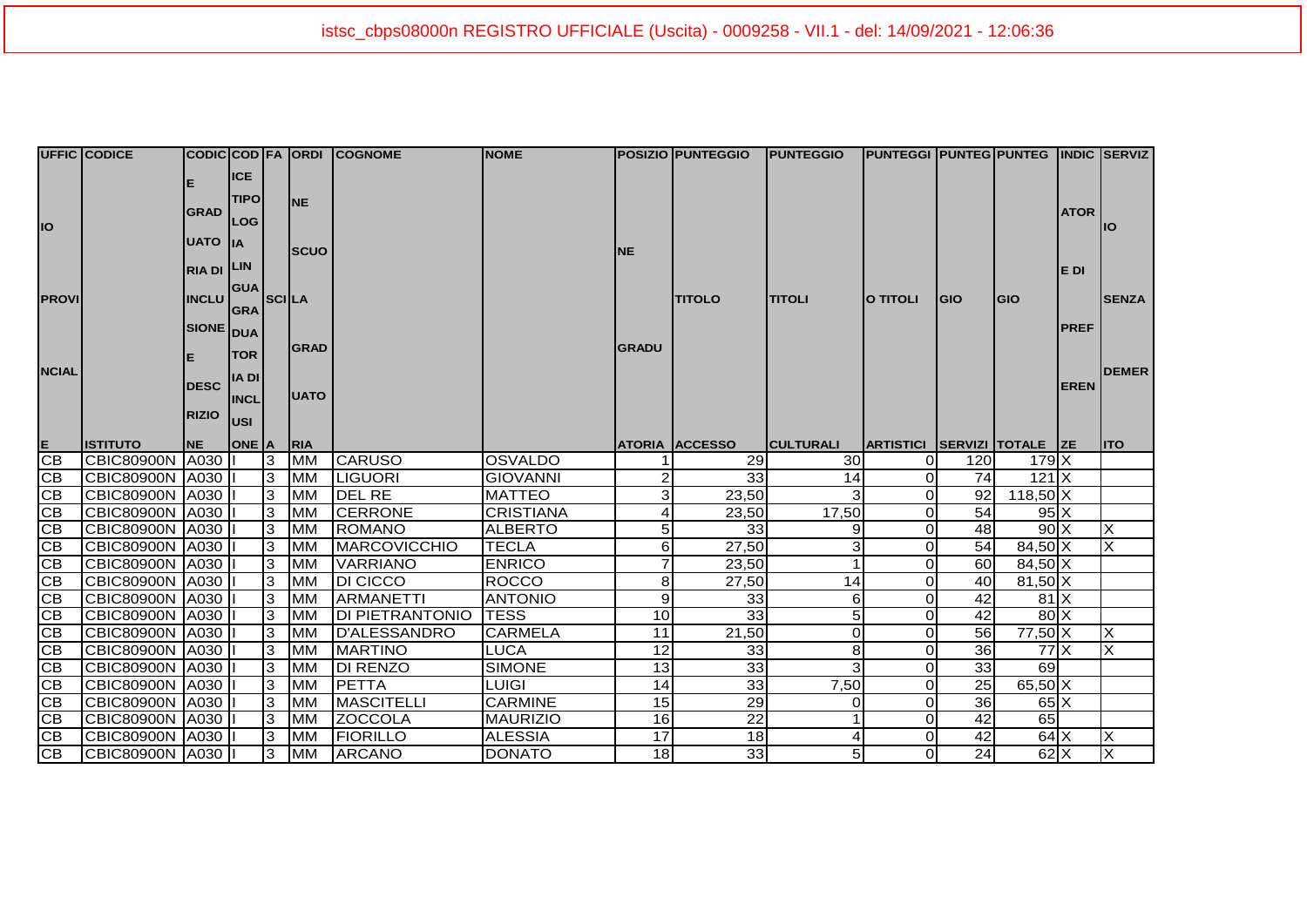|               | <b>UFFIC CODICE</b> |                   |              |              |             | CODIC COD FA ORDI COGNOME | <b>NOME</b>      |              | <b> POSIZIO   PUNTEGGIO</b> | <b>PUNTEGGIO</b> | <b>PUNTEGGI PUNTEG PUNTEG INDIC SERVIZ</b> |                 |                      |              |                           |
|---------------|---------------------|-------------------|--------------|--------------|-------------|---------------------------|------------------|--------------|-----------------------------|------------------|--------------------------------------------|-----------------|----------------------|--------------|---------------------------|
|               |                     |                   | <b>ICE</b>   |              |             |                           |                  |              |                             |                  |                                            |                 |                      |              |                           |
|               |                     |                   | <b>TIPO</b>  |              | <b>INE</b>  |                           |                  |              |                             |                  |                                            |                 |                      |              |                           |
|               |                     | <b>GRAD</b>       | LOG          |              |             |                           |                  |              |                             |                  |                                            |                 |                      | <b>ATOR</b>  |                           |
| IO            |                     | <b>UATO</b> IA    |              |              |             |                           |                  |              |                             |                  |                                            |                 |                      |              | llO                       |
|               |                     |                   |              |              | <b>SCUO</b> |                           |                  | <b>NE</b>    |                             |                  |                                            |                 |                      |              |                           |
|               |                     | <b>RIA DI LIN</b> |              |              |             |                           |                  |              |                             |                  |                                            |                 |                      | E DI         |                           |
|               |                     |                   | <b>GUA</b>   |              |             |                           |                  |              |                             |                  |                                            |                 |                      |              |                           |
| <b>PROVI</b>  |                     | <b>INCLU</b>      | <b>GRA</b>   | <b>SCILA</b> |             |                           |                  |              | <b>TITOLO</b>               | <b>TITOLI</b>    | <b>O TITOLI</b>                            | <b>GIO</b>      | <b>GIO</b>           |              | <b>SENZA</b>              |
|               |                     | SIONE DUA         |              |              |             |                           |                  |              |                             |                  |                                            |                 |                      | <b>IPREF</b> |                           |
|               |                     |                   | <b>TOR</b>   |              | <b>GRAD</b> |                           |                  | <b>GRADU</b> |                             |                  |                                            |                 |                      |              |                           |
| <b>NCIAL</b>  |                     |                   |              |              |             |                           |                  |              |                             |                  |                                            |                 |                      |              | <b>DEMER</b>              |
|               |                     | <b>DESC</b>       | <b>IADI</b>  |              |             |                           |                  |              |                             |                  |                                            |                 |                      | <b>EREN</b>  |                           |
|               |                     |                   | <b>INCL</b>  |              | <b>UATO</b> |                           |                  |              |                             |                  |                                            |                 |                      |              |                           |
|               |                     | <b>RIZIO</b>      | lusi         |              |             |                           |                  |              |                             |                  |                                            |                 |                      |              |                           |
|               | <b>ISTITUTO</b>     | <b>NE</b>         | <b>ONE A</b> |              | <b>RIA</b>  |                           |                  |              | <b>ATORIA ACCESSO</b>       | <b>CULTURALI</b> | ARTISTICI SERVIZI TOTALE ZE                |                 |                      |              | <b>IITO</b>               |
| $rac{E}{CB}$  | CBIC80900N          | A030              |              | 3            | <b>MM</b>   | <b>CARUSO</b>             | <b>OSVALDO</b>   |              | 29                          | <b>30</b>        | $\Omega$                                   | 120             | 179X                 |              |                           |
| CB            | <b>CBIC80900N</b>   | A030              |              | 3            | <b>MM</b>   | <b>LIGUORI</b>            | <b>GIOVANNI</b>  |              | 33 <sub>1</sub>             | 14               | $\overline{0}$                             | <b>74</b>       | $121$ $X$            |              |                           |
| CB            | <b>CBIC80900N</b>   | A030              |              | 3            | <b>MM</b>   | <b>DEL RE</b>             | <b>MATTEO</b>    | 3            | 23,50                       | 3                | $\Omega$                                   | 92 <sub>l</sub> | $118,50$ X           |              |                           |
| CB            | <b>CBIC80900N</b>   |                   |              |              |             |                           |                  |              |                             |                  |                                            |                 |                      |              |                           |
| CB            |                     | A030 L            |              | 3            | <b>MM</b>   | <b>CERRONE</b>            | <b>CRISTIANA</b> | 4            | 23,50                       | 17,50            | $\Omega$                                   | 54              | $95\text{X}$         |              |                           |
|               | <b>CBIC80900N</b>   | A030              |              | 3            | <b>MM</b>   | <b>IROMANO</b>            | <b>ALBERTO</b>   | 5            | 33                          | 9                | $\overline{0}$                             | 48              | $90\text{X}$         |              | X                         |
| CB            | <b>CBIC80900N</b>   | A030              |              | 3            | <b>MM</b>   | MARCOVICCHIO              | <b>TECLA</b>     | 6            | 27,50                       | 3                | $\Omega$                                   | 54              | 84,50 X              |              | X                         |
| CB            | CBIC80900N   A030   |                   |              | 3            | <b>IMM</b>  | <b>VARRIANO</b>           | <b>ENRICO</b>    | 7            | 23,50                       |                  | $\Omega$                                   | 60              | 84,50 X              |              |                           |
| CB            | <b>CBIC80900N</b>   | A030              |              | 3            | <b>MM</b>   | <b>DI CICCO</b>           | <b>ROCCO</b>     | 8            | 27,50                       | 14               | $\Omega$                                   | 40              | $81,50$ X            |              |                           |
| CB            | <b>CBIC80900N</b>   | A030              |              | 3            | <b>MM</b>   | <b>ARMANETTI</b>          | <b>ANTONIO</b>   | 9            | 33                          | 6                | $\Omega$                                   | 42              | 81X                  |              |                           |
| CB            | CBIC80900N          | A030              |              | 3            | <b>MM</b>   | <b>DI PIETRANTONIO</b>    | <b>TESS</b>      | 10           | 33                          | 5                | $\Omega$                                   | 42              | $80\text{X}$         |              |                           |
|               | <b>CBIC80900N</b>   | A030              |              | 3            | <b>MM</b>   | D'ALESSANDRO              | <b>CARMELA</b>   | 11           | 21,50                       | $\Omega$         | $\overline{0}$                             | 56              | $77,50$ X            |              | X                         |
| $rac{CB}{CB}$ | <b>CBIC80900N</b>   | A030              |              | 3            | <b>MM</b>   | <b>MARTINO</b>            | <b>LUCA</b>      | 12           | 33                          | 8                | $\Omega$                                   | 36              | 77 X                 |              | $\boldsymbol{\mathsf{X}}$ |
| CB            | <b>CBIC80900N</b>   | A030              |              | 3            | <b>MM</b>   | <b>DI RENZO</b>           | <b>SIMONE</b>    | 13           | 33                          | 3                | $\Omega$                                   | 33              | 69                   |              |                           |
| CB            | <b>CBIC80900N</b>   | A030              |              | 3            | <b>MM</b>   | PETTA                     | <b>LUIGI</b>     | 14           | 33                          | 7,50             | $\Omega$                                   | 25              | $65,50$ X            |              |                           |
| CB            | <b>CBIC80900N</b>   | A030              |              | 3            | <b>MM</b>   | <b>MASCITELLI</b>         | <b>CARMINE</b>   | 15           | 29                          | 0                | $\Omega$                                   | 36              | $65\text{X}$         |              |                           |
| CB            | <b>CBIC80900N</b>   | A030              |              | 3            | <b>MM</b>   | <b>ZOCCOLA</b>            | <b>MAURIZIO</b>  | 16           | $\overline{22}$             |                  | $\Omega$                                   | 42              | 65                   |              |                           |
| CB<br>CB      | CBIC80900N   A030   |                   |              | 13<br>3      | <b>MM</b>   | <b>FIORILLO</b>           | <b>ALESSIA</b>   | 17           | 18<br>33                    | 4                | $\Omega$                                   | 42              | $64$ $X$<br>$62$ $X$ |              | X<br>ΙX                   |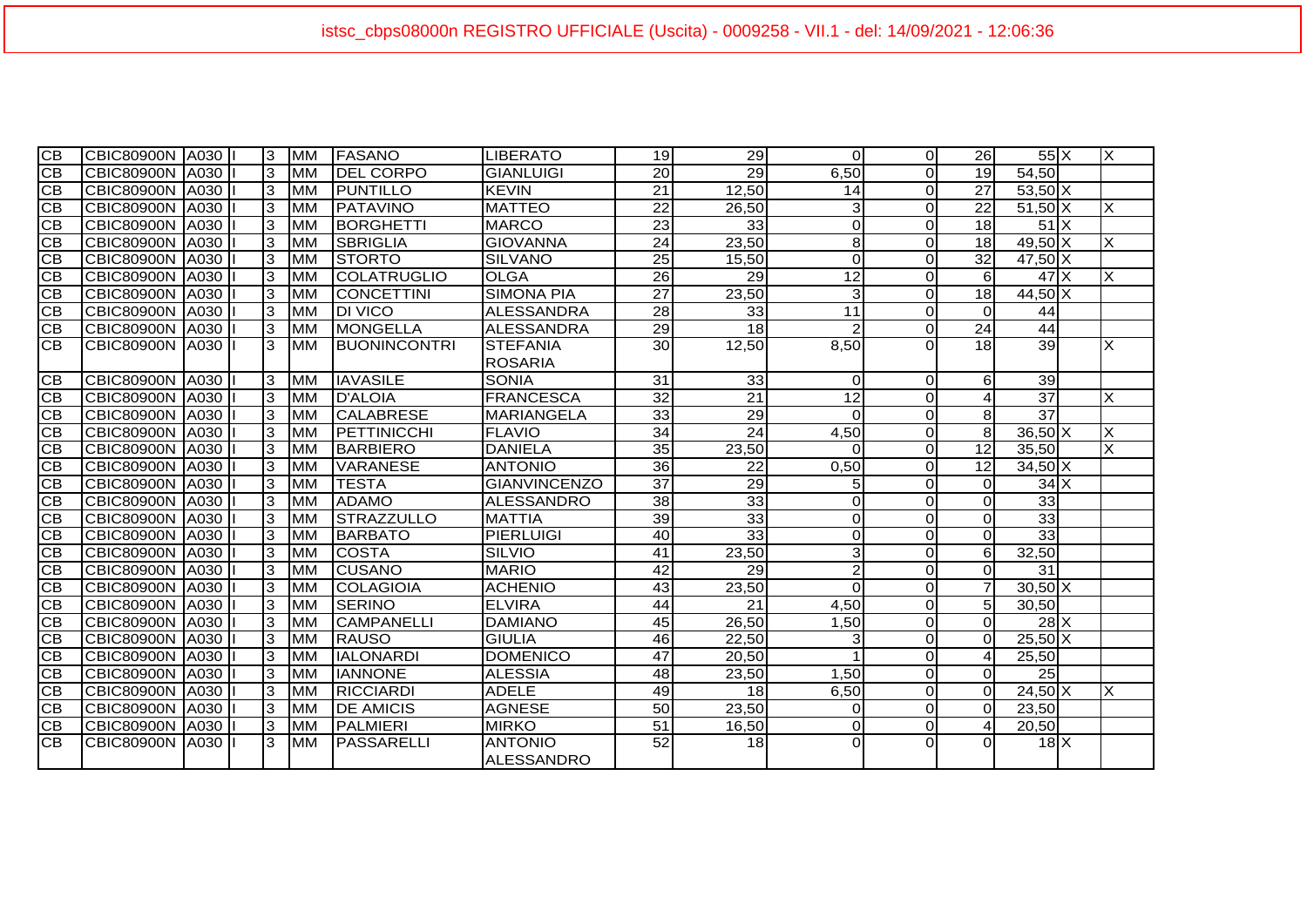| СB              | CBIC80900N   A030      |        | 3  | <b>MM</b>  | FASANO               | LIBERATO            | 19               | 29              | 0               | $\Omega$       | <b>26</b>        | $55\text{X}$                 | $\times$ |
|-----------------|------------------------|--------|----|------------|----------------------|---------------------|------------------|-----------------|-----------------|----------------|------------------|------------------------------|----------|
| $\overline{CB}$ | CBIC80900N   A030      |        | 3  | <b>MM</b>  | <b>IDEL CORPO</b>    | <b>GIANLUIGI</b>    | $20\overline{)}$ | $\overline{29}$ | 6,50            | $\Omega$       | 19               | 54,50                        |          |
| <b>CB</b>       | <b>CBIC80900N A030</b> |        | lЗ | <b>MM</b>  | <b>IPUNTILLO</b>     | <b>KEVIN</b>        | 21               | 12,50           | 14              | $\Omega$       | 27               | $53,50$ X                    |          |
| <b>CB</b>       | CBIC80900N A030        |        | lЗ | <b>MM</b>  | <b>PATAVINO</b>      | <b>MATTEO</b>       | $\overline{22}$  | 26,50           | 3               | $\Omega$       | $\overline{22}$  | $51,50$ X                    | X        |
| <b>CB</b>       | CBIC80900N             | A030   | 3  | <b>MM</b>  | BORGHETTI            | <b>MARCO</b>        | 23               | 33              | $\mathbf 0$     | $\Omega$       | 18 <sup>l</sup>  | $51$ $X$                     |          |
| CB              | CBIC80900N             | A030   | 3  | <b>MM</b>  | <b>SBRIGLIA</b>      | <b>GIOVANNA</b>     | 24               | 23,50           | 8               | $\Omega$       | 18 <sup>l</sup>  | $49,50$ X                    | $\times$ |
| <b>CB</b>       | CBIC80900N   A030      |        | 3  | <b>MM</b>  | <b>STORTO</b>        | <b>SILVANO</b>      | 25               | 15,50           | $\Omega$        | $\Omega$       | 32               | $47,50$ X                    |          |
| <b>CB</b>       | CBIC80900N             | A030   | lЗ | <b>MM</b>  | ICOLATRUGLIO         | <b>OLGA</b>         | 26               | 29              | $\overline{12}$ | $\Omega$       | $6 \mid$         | 47X                          | X        |
| CB              | CBIC80900N             | A030   | 3  | <b>MM</b>  | CONCETTINI           | <b>SIMONA PIA</b>   | 27               | 23,50           | 3               | $\Omega$       | 18               | $44,50\overline{\text{X}}$   |          |
| <b>CB</b>       | <b>CBIC80900N</b>      | A030   | 3  | <b>MM</b>  | <b>DI VICO</b>       | <b>ALESSANDRA</b>   | 28               | 33              | $\overline{11}$ | $\Omega$       | $\Omega$         | 44                           |          |
| <b>CB</b>       | CBIC80900N   A030      |        | 3  | <b>MM</b>  | <b>MONGELLA</b>      | <b>ALESSANDRA</b>   | $\overline{29}$  | $\overline{18}$ | $\overline{2}$  | $\Omega$       | $\overline{24}$  | 44                           |          |
| <b>CB</b>       | <b>CBIC80900N</b>      | A030 I | 3  | MM         | <b>IBUONINCONTRI</b> | <b>STEFANIA</b>     | 30               | 12,50           | 8,50            | 0              | 18               | 39                           | X        |
|                 |                        |        |    |            |                      | <b>ROSARIA</b>      |                  |                 |                 |                |                  |                              |          |
| <b>CB</b>       | CBIC80900N             | A030   | 3  | <b>MM</b>  | <b>IAVASILE</b>      | <b>SONIA</b>        | 31               | 33              | $\mathbf 0$     | $\Omega$       | 61               | 39                           |          |
| CB              | CBIC80900N             | A030   | 3  | <b>MM</b>  | <b>D'ALOIA</b>       | <b>FRANCESCA</b>    | 32               | $\overline{21}$ | $\overline{12}$ | $\Omega$       | 4                | $\overline{37}$              | X        |
| <b>CB</b>       | CBIC80900N   A030      |        | 3  | <b>MM</b>  | <b>CALABRESE</b>     | <b>MARIANGELA</b>   | 33               | 29              | $\Omega$        | $\Omega$       | 81               | $\overline{37}$              |          |
| <b>CB</b>       | CBIC80900N A030        |        | lЗ | <b>MM</b>  | PETTINICCHI          | <b>FLAVIO</b>       | 34               | $\overline{24}$ | 4,50            | $\Omega$       | 8                | $36,50$ X                    | X        |
| $\overline{CB}$ | CBIC80900N A030        |        | 3  | <b>MM</b>  | <b>BARBIERO</b>      | <b>DANIELA</b>      | 35               | 23,50           | $\Omega$        | $\Omega$       | 12               | 35,50                        | X        |
| <b>CB</b>       | CBIC80900N             | A030   | 3  | <b>MM</b>  | <b>VARANESE</b>      | <b>ANTONIO</b>      | 36               | $\overline{22}$ | 0,50            | $\Omega$       | 12               | $34,50$ X                    |          |
| <b>CB</b>       | CBIC80900N A030        |        | lЗ | <b>MM</b>  | <b>TESTA</b>         | <b>GIANVINCENZO</b> | $\overline{37}$  | $\overline{29}$ | 5               | $\Omega$       | $\Omega$         | $34$ $X$                     |          |
| CB              | CBIC80900N   A030      |        | 3  | <b>MM</b>  | <b>ADAMO</b>         | <b>ALESSANDRO</b>   | 38               | 33              | 0               | $\Omega$       | $\Omega$         | 33                           |          |
| CB              | <b>CBIC80900N</b>      | A030   | 3  | <b>MM</b>  | <b>STRAZZULLO</b>    | <b>MATTIA</b>       | 39               | $\overline{33}$ | 0               | $\Omega$       | $\Omega$         | 33                           |          |
| <b>CB</b>       | CBIC80900N             | A030   | 3  | <b>MM</b>  | <b>BARBATO</b>       | <b>PIERLUIGI</b>    | 40               | $\overline{33}$ | 0               | $\Omega$       | $\Omega$         | 33                           |          |
| CB              | CBIC80900N             | A030   | 3  | <b>MM</b>  | <b>COSTA</b>         | SILVIO              | 41               | 23,50           | 3               | $\Omega$       | $6 \mid$         | 32,50                        |          |
| <b>CB</b>       | CBIC80900N             | A030   | 3  | <b>MM</b>  | <b>CUSANO</b>        | <b>MARIO</b>        | 42               | $\overline{29}$ | $\overline{2}$  | $\Omega$       | $\Omega$         | 31                           |          |
| <b>CB</b>       | CBIC80900N A030        |        | 3  | <b>MM</b>  | COLAGIOIA            | <b>ACHENIO</b>      | 43               | 23,50           | $\Omega$        | $\overline{0}$ | $\overline{7}$   | $30,50$ X                    |          |
| CB              | CBIC80900N   A030      |        | 3  | <b>MM</b>  | <b>SERINO</b>        | <b>ELVIRA</b>       | 44               | 21              | 4,50            | $\overline{0}$ | 5 <sub>l</sub>   | 30,50                        |          |
| <b>CB</b>       | CBIC80900N             | A030   | 3  | <b>MM</b>  | <b>CAMPANELLI</b>    | <b>DAMIANO</b>      | 45               | 26,50           | 1,50            | $\Omega$       | $\Omega$         | $28 \overline{X}$            |          |
| <b>CB</b>       | CBIC80900N A030        |        | 3  | <b>MM</b>  | <b>RAUSO</b>         | <b>GIULIA</b>       | 46               | 22,50           | 3               | $\Omega$       | $\Omega$         | $25,50$ X                    |          |
| CВ              | CBIC80900N A030        |        | 3  | <b>MM</b>  | <b>IALONARDI</b>     | <b>DOMENICO</b>     | 47               | 20,50           | 1               | $\Omega$       | $\boldsymbol{A}$ | 25,50                        |          |
| <b>CB</b>       | CBIC80900N   A030      |        | 3  | <b>MM</b>  | <b>IANNONE</b>       | <b>ALESSIA</b>      | 48               | 23,50           | 1,50            | $\Omega$       | $\Omega$         | 25                           |          |
| CB              | ICBIC80900N  A030      |        | 3  | <b>MM</b>  | <b>RICCIARDI</b>     | <b>ADELE</b>        | 49               | 18              | 6,50            | $\Omega$       | $\Omega$         | $24,50\overline{\mathrm{X}}$ | ΙX       |
| CB              | CBIC80900N             | A030   | 3  | <b>MM</b>  | <b>DE AMICIS</b>     | <b>AGNESE</b>       | 50               | 23,50           | 0               | $\Omega$       | $\Omega$         | 23.50                        |          |
| CB              | CBIC80900N   A030      |        | 3  | <b>MM</b>  | <b>PALMIERI</b>      | <b>MIRKO</b>        | 51               | 16,50           | 0               | $\overline{0}$ | $\boldsymbol{A}$ | 20,50                        |          |
| CB              | <b>CBIC80900N</b>      | A030   | 3  | <b>IMM</b> | <b>IPASSARELLI</b>   | <b>ANTONIO</b>      | 52               | 18              | $\Omega$        | $\Omega$       | ΩI               | $18$ $X$                     |          |
|                 |                        |        |    |            |                      | <b>ALESSANDRO</b>   |                  |                 |                 |                |                  |                              |          |